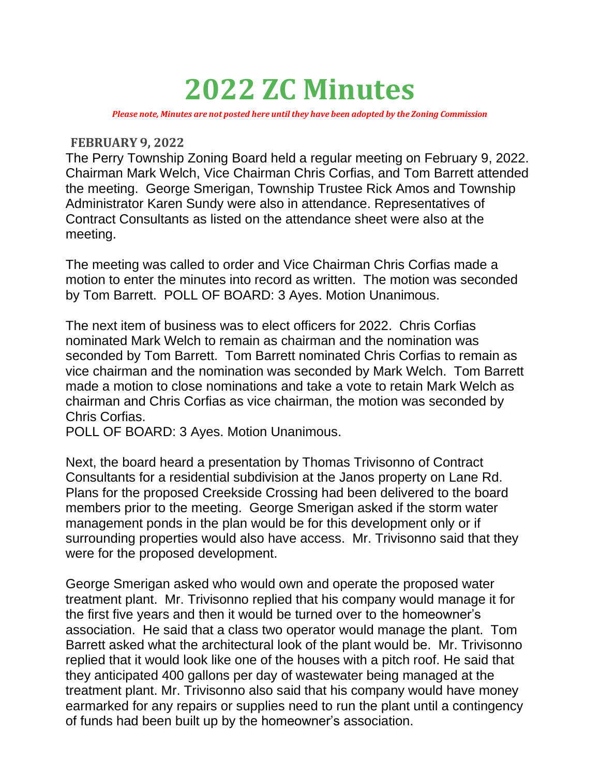## **2022 ZC Minutes**

*Please note, Minutes are not posted here until they have been adopted by the Zoning Commission*

## **FEBRUARY 9, 2022**

The Perry Township Zoning Board held a regular meeting on February 9, 2022. Chairman Mark Welch, Vice Chairman Chris Corfias, and Tom Barrett attended the meeting. George Smerigan, Township Trustee Rick Amos and Township Administrator Karen Sundy were also in attendance. Representatives of Contract Consultants as listed on the attendance sheet were also at the meeting.

The meeting was called to order and Vice Chairman Chris Corfias made a motion to enter the minutes into record as written. The motion was seconded by Tom Barrett. POLL OF BOARD: 3 Ayes. Motion Unanimous.

The next item of business was to elect officers for 2022. Chris Corfias nominated Mark Welch to remain as chairman and the nomination was seconded by Tom Barrett. Tom Barrett nominated Chris Corfias to remain as vice chairman and the nomination was seconded by Mark Welch. Tom Barrett made a motion to close nominations and take a vote to retain Mark Welch as chairman and Chris Corfias as vice chairman, the motion was seconded by Chris Corfias.

POLL OF BOARD: 3 Ayes. Motion Unanimous.

Next, the board heard a presentation by Thomas Trivisonno of Contract Consultants for a residential subdivision at the Janos property on Lane Rd. Plans for the proposed Creekside Crossing had been delivered to the board members prior to the meeting. George Smerigan asked if the storm water management ponds in the plan would be for this development only or if surrounding properties would also have access. Mr. Trivisonno said that they were for the proposed development.

George Smerigan asked who would own and operate the proposed water treatment plant. Mr. Trivisonno replied that his company would manage it for the first five years and then it would be turned over to the homeowner's association. He said that a class two operator would manage the plant. Tom Barrett asked what the architectural look of the plant would be. Mr. Trivisonno replied that it would look like one of the houses with a pitch roof. He said that they anticipated 400 gallons per day of wastewater being managed at the treatment plant. Mr. Trivisonno also said that his company would have money earmarked for any repairs or supplies need to run the plant until a contingency of funds had been built up by the homeowner's association.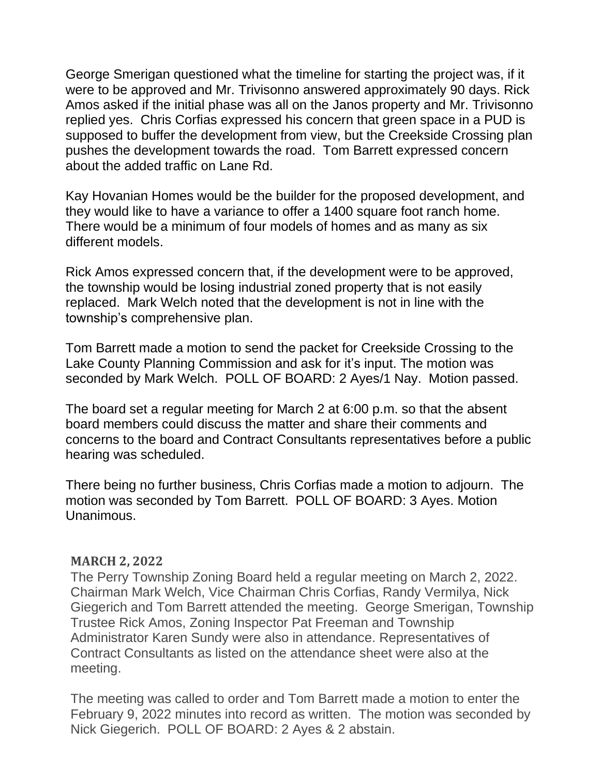George Smerigan questioned what the timeline for starting the project was, if it were to be approved and Mr. Trivisonno answered approximately 90 days. Rick Amos asked if the initial phase was all on the Janos property and Mr. Trivisonno replied yes. Chris Corfias expressed his concern that green space in a PUD is supposed to buffer the development from view, but the Creekside Crossing plan pushes the development towards the road. Tom Barrett expressed concern about the added traffic on Lane Rd.

Kay Hovanian Homes would be the builder for the proposed development, and they would like to have a variance to offer a 1400 square foot ranch home. There would be a minimum of four models of homes and as many as six different models.

Rick Amos expressed concern that, if the development were to be approved, the township would be losing industrial zoned property that is not easily replaced. Mark Welch noted that the development is not in line with the township's comprehensive plan.

Tom Barrett made a motion to send the packet for Creekside Crossing to the Lake County Planning Commission and ask for it's input. The motion was seconded by Mark Welch. POLL OF BOARD: 2 Ayes/1 Nay. Motion passed.

The board set a regular meeting for March 2 at 6:00 p.m. so that the absent board members could discuss the matter and share their comments and concerns to the board and Contract Consultants representatives before a public hearing was scheduled.

There being no further business, Chris Corfias made a motion to adjourn. The motion was seconded by Tom Barrett. POLL OF BOARD: 3 Ayes. Motion Unanimous.

## **MARCH 2, 2022**

The Perry Township Zoning Board held a regular meeting on March 2, 2022. Chairman Mark Welch, Vice Chairman Chris Corfias, Randy Vermilya, Nick Giegerich and Tom Barrett attended the meeting. George Smerigan, Township Trustee Rick Amos, Zoning Inspector Pat Freeman and Township Administrator Karen Sundy were also in attendance. Representatives of Contract Consultants as listed on the attendance sheet were also at the meeting.

The meeting was called to order and Tom Barrett made a motion to enter the February 9, 2022 minutes into record as written. The motion was seconded by Nick Giegerich. POLL OF BOARD: 2 Ayes & 2 abstain.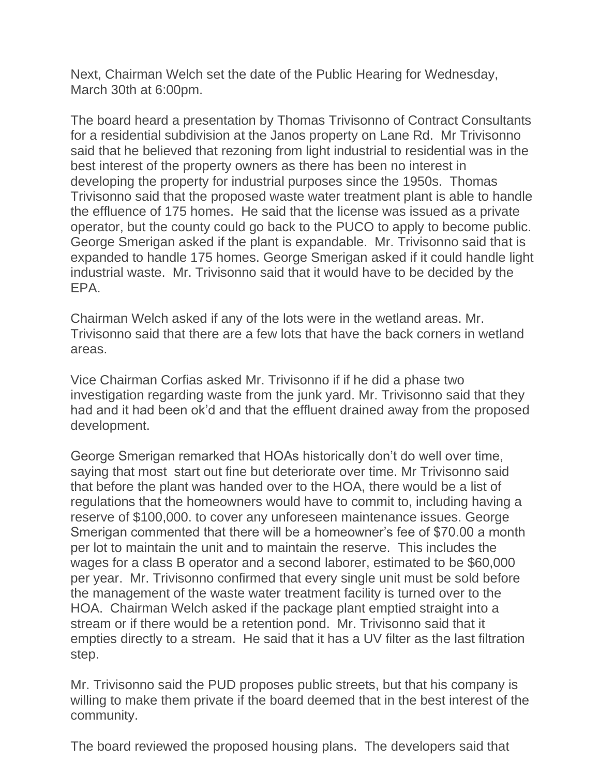Next, Chairman Welch set the date of the Public Hearing for Wednesday, March 30th at 6:00pm.

The board heard a presentation by Thomas Trivisonno of Contract Consultants for a residential subdivision at the Janos property on Lane Rd. Mr Trivisonno said that he believed that rezoning from light industrial to residential was in the best interest of the property owners as there has been no interest in developing the property for industrial purposes since the 1950s. Thomas Trivisonno said that the proposed waste water treatment plant is able to handle the effluence of 175 homes. He said that the license was issued as a private operator, but the county could go back to the PUCO to apply to become public. George Smerigan asked if the plant is expandable. Mr. Trivisonno said that is expanded to handle 175 homes. George Smerigan asked if it could handle light industrial waste. Mr. Trivisonno said that it would have to be decided by the EPA.

Chairman Welch asked if any of the lots were in the wetland areas. Mr. Trivisonno said that there are a few lots that have the back corners in wetland areas.

Vice Chairman Corfias asked Mr. Trivisonno if if he did a phase two investigation regarding waste from the junk yard. Mr. Trivisonno said that they had and it had been ok'd and that the effluent drained away from the proposed development.

George Smerigan remarked that HOAs historically don't do well over time, saying that most start out fine but deteriorate over time. Mr Trivisonno said that before the plant was handed over to the HOA, there would be a list of regulations that the homeowners would have to commit to, including having a reserve of \$100,000. to cover any unforeseen maintenance issues. George Smerigan commented that there will be a homeowner's fee of \$70.00 a month per lot to maintain the unit and to maintain the reserve. This includes the wages for a class B operator and a second laborer, estimated to be \$60,000 per year. Mr. Trivisonno confirmed that every single unit must be sold before the management of the waste water treatment facility is turned over to the HOA. Chairman Welch asked if the package plant emptied straight into a stream or if there would be a retention pond. Mr. Trivisonno said that it empties directly to a stream. He said that it has a UV filter as the last filtration step.

Mr. Trivisonno said the PUD proposes public streets, but that his company is willing to make them private if the board deemed that in the best interest of the community.

The board reviewed the proposed housing plans. The developers said that